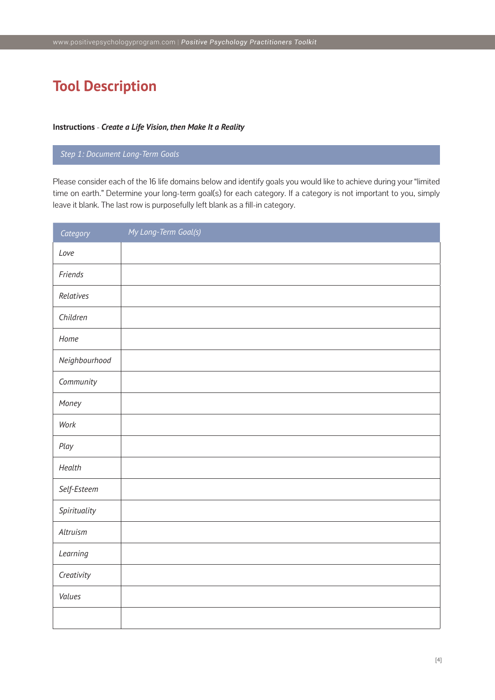# **Tool Description**

#### **Instructions** - *Create a Life Vision, then Make It a Reality*

## *Step 1: Document Long-Term Goals*

Please consider each of the 16 life domains below and identify goals you would like to achieve during your "limited time on earth." Determine your long-term goal(s) for each category. If a category is not important to you, simply leave it blank. The last row is purposefully left blank as a fill-in category.

| Category      | My Long-Term Goal(s) |
|---------------|----------------------|
| Love          |                      |
| Friends       |                      |
| Relatives     |                      |
| Children      |                      |
| Home          |                      |
| Neighbourhood |                      |
| Community     |                      |
| Money         |                      |
| Work          |                      |
| Play          |                      |
| Health        |                      |
| Self-Esteem   |                      |
| Spirituality  |                      |
| Altruism      |                      |
| Learning      |                      |
| Creativity    |                      |
| Values        |                      |
|               |                      |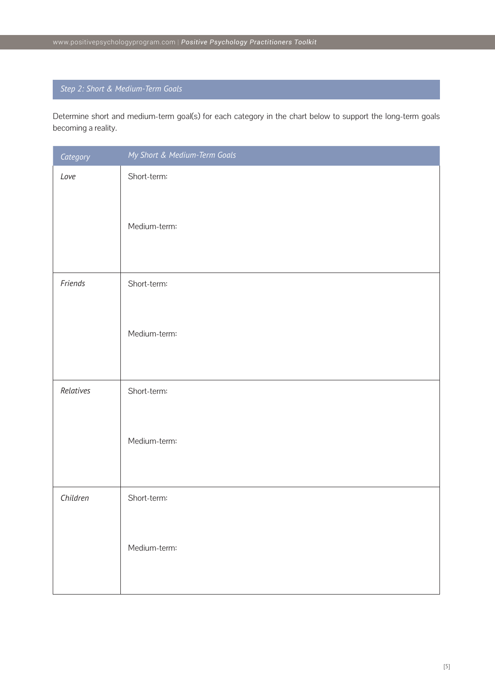# *Step 2: Short & Medium-Term Goals*

Determine short and medium-term goal(s) for each category in the chart below to support the long-term goals becoming a reality.

| Category  | My Short & Medium-Term Goals |
|-----------|------------------------------|
| Love      | Short-term:                  |
|           | Medium-term:                 |
| Friends   | Short-term:                  |
|           | Medium-term:                 |
| Relatives | Short-term:                  |
|           | Medium-term:                 |
| Children  | Short-term:                  |
|           | Medium-term:                 |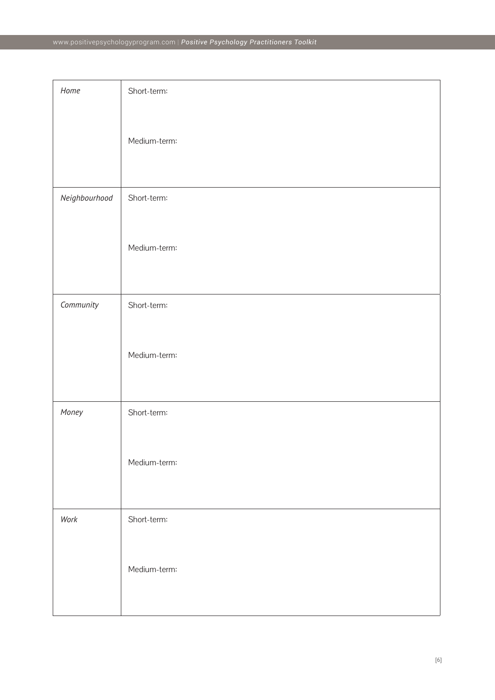| Home          | Short-term:  |
|---------------|--------------|
|               | Medium-term: |
| Neighbourhood | Short-term:  |
|               | Medium-term: |
| Community     | Short-term:  |
|               | Medium-term: |
| Money         | Short-term:  |
|               | Medium-term: |
| Work          | Short-term:  |
|               | Medium-term: |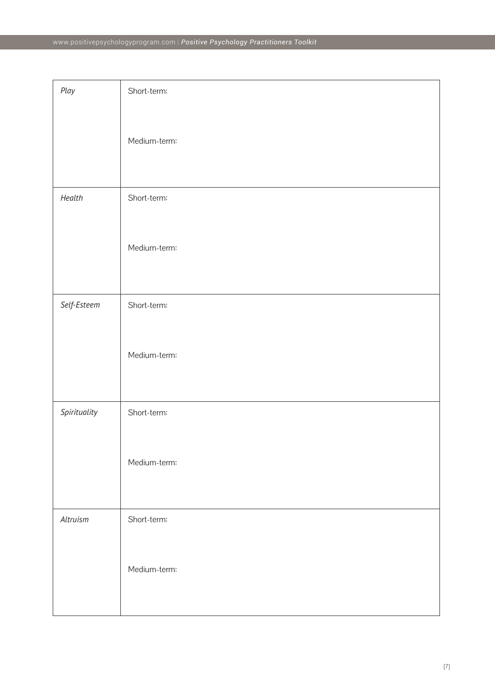| Play         | Short-term:  |
|--------------|--------------|
|              |              |
|              | Medium-term: |
|              |              |
| Health       | Short-term:  |
|              |              |
|              | Medium-term: |
|              |              |
| Self-Esteem  | Short-term:  |
|              | Medium-term: |
|              |              |
|              |              |
| Spirituality | Short-term:  |
|              | Medium-term: |
|              |              |
|              |              |
| Altruism     | Short-term:  |
|              | Medium-term: |
|              |              |
|              |              |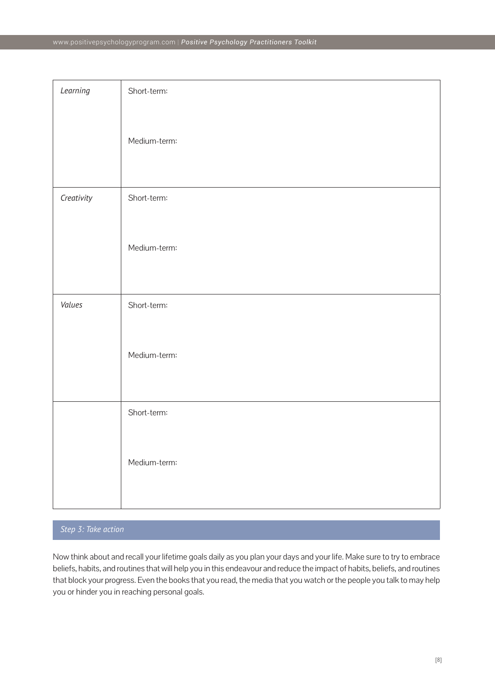| Learning   | Short-term:  |
|------------|--------------|
|            | Medium-term: |
| Creativity | Short-term:  |
|            | Medium-term: |
| Values     | Short-term:  |
|            | Medium-term: |
|            | Short-term:  |
|            | Medium-term: |

# *Step 3: Take action*

Now think about and recall your lifetime goals daily as you plan your days and your life. Make sure to try to embrace beliefs, habits, and routines that will help you in this endeavour and reduce the impact of habits, beliefs, and routines that block your progress. Even the books that you read, the media that you watch or the people you talk to may help you or hinder you in reaching personal goals.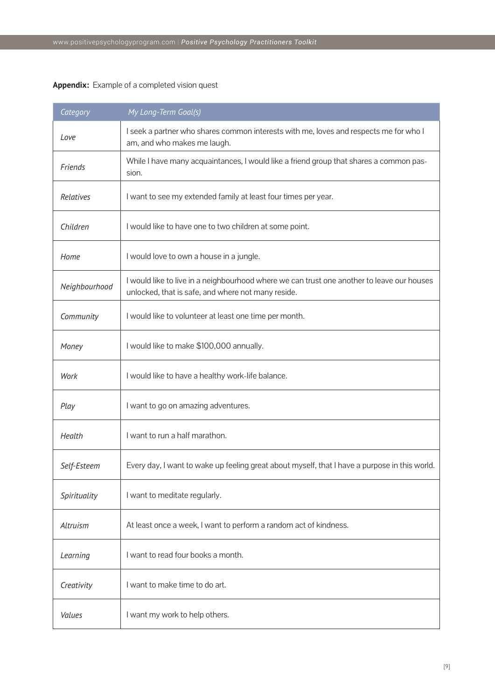## **Appendix:** Example of a completed vision quest

| Category      | My Long-Term Goal(s)                                                                                                                             |
|---------------|--------------------------------------------------------------------------------------------------------------------------------------------------|
| Love          | I seek a partner who shares common interests with me, loves and respects me for who I<br>am, and who makes me laugh.                             |
| Friends       | While I have many acquaintances, I would like a friend group that shares a common pas-<br>sion.                                                  |
| Relatives     | I want to see my extended family at least four times per year.                                                                                   |
| Children      | I would like to have one to two children at some point.                                                                                          |
| Home          | I would love to own a house in a jungle.                                                                                                         |
| Neighbourhood | I would like to live in a neighbourhood where we can trust one another to leave our houses<br>unlocked, that is safe, and where not many reside. |
| Community     | I would like to volunteer at least one time per month.                                                                                           |
| Money         | I would like to make \$100,000 annually.                                                                                                         |
| Work          | I would like to have a healthy work-life balance.                                                                                                |
| Play          | I want to go on amazing adventures.                                                                                                              |
| Health        | I want to run a half marathon.                                                                                                                   |
| Self-Esteem   | Every day, I want to wake up feeling great about myself, that I have a purpose in this world.                                                    |
| Spirituality  | I want to meditate regularly.                                                                                                                    |
| Altruism      | At least once a week, I want to perform a random act of kindness.                                                                                |
| Learning      | I want to read four books a month.                                                                                                               |
| Creativity    | I want to make time to do art.                                                                                                                   |
| Values        | I want my work to help others.                                                                                                                   |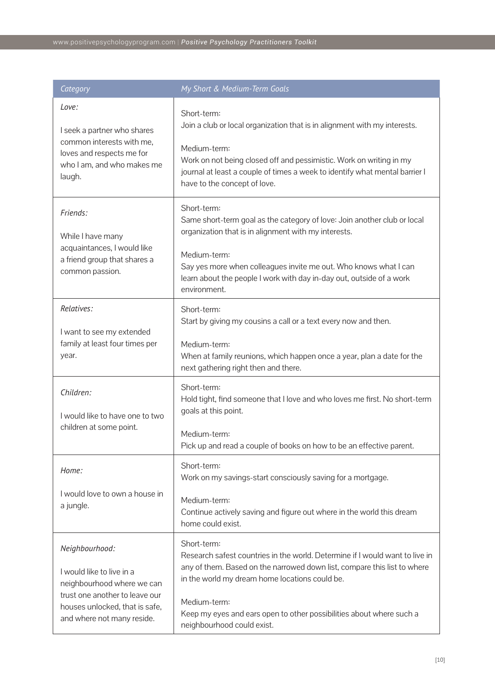| Category                                                                                                                                                                    | My Short & Medium-Term Goals                                                                                                                                                                                                                                                                                                                    |
|-----------------------------------------------------------------------------------------------------------------------------------------------------------------------------|-------------------------------------------------------------------------------------------------------------------------------------------------------------------------------------------------------------------------------------------------------------------------------------------------------------------------------------------------|
| Love:<br>I seek a partner who shares<br>common interests with me,<br>loves and respects me for<br>who I am, and who makes me<br>laugh.                                      | Short-term:<br>Join a club or local organization that is in alignment with my interests.<br>Medium-term:<br>Work on not being closed off and pessimistic. Work on writing in my<br>journal at least a couple of times a week to identify what mental barrier I<br>have to the concept of love.                                                  |
| Friends:<br>While I have many<br>acquaintances, I would like<br>a friend group that shares a<br>common passion.                                                             | Short-term:<br>Same short-term goal as the category of love: Join another club or local<br>organization that is in alignment with my interests.<br>Medium-term:<br>Say yes more when colleagues invite me out. Who knows what I can<br>learn about the people I work with day in-day out, outside of a work<br>environment.                     |
| Relatives:<br>I want to see my extended<br>family at least four times per<br>year.                                                                                          | Short-term:<br>Start by giving my cousins a call or a text every now and then.<br>Medium-term:<br>When at family reunions, which happen once a year, plan a date for the<br>next gathering right then and there.                                                                                                                                |
| Children:<br>I would like to have one to two<br>children at some point.                                                                                                     | Short-term:<br>Hold tight, find someone that I love and who loves me first. No short-term<br>goals at this point.<br>Medium-term:<br>Pick up and read a couple of books on how to be an effective parent.                                                                                                                                       |
| Home:<br>I would love to own a house in<br>a jungle.                                                                                                                        | Short-term:<br>Work on my savings-start consciously saving for a mortgage.<br>Medium-term:<br>Continue actively saving and figure out where in the world this dream<br>home could exist.                                                                                                                                                        |
| Neighbourhood:<br>I would like to live in a<br>neighbourhood where we can<br>trust one another to leave our<br>houses unlocked, that is safe,<br>and where not many reside. | Short-term:<br>Research safest countries in the world. Determine if I would want to live in<br>any of them. Based on the narrowed down list, compare this list to where<br>in the world my dream home locations could be.<br>Medium-term:<br>Keep my eyes and ears open to other possibilities about where such a<br>neighbourhood could exist. |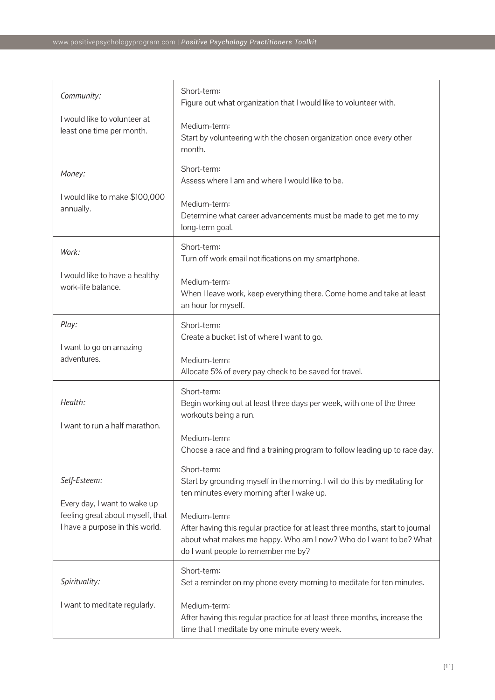| Community:                                                                                          | Short-term:<br>Figure out what organization that I would like to volunteer with.                                                                                                                            |
|-----------------------------------------------------------------------------------------------------|-------------------------------------------------------------------------------------------------------------------------------------------------------------------------------------------------------------|
| I would like to volunteer at<br>least one time per month.                                           | Medium-term:<br>Start by volunteering with the chosen organization once every other<br>month.                                                                                                               |
| Money:                                                                                              | Short-term:<br>Assess where I am and where I would like to be.                                                                                                                                              |
| I would like to make \$100,000<br>annually.                                                         | Medium-term:<br>Determine what career advancements must be made to get me to my<br>long-term goal.                                                                                                          |
| Work:                                                                                               | Short-term:<br>Turn off work email notifications on my smartphone.                                                                                                                                          |
| I would like to have a healthy<br>work-life balance.                                                | Medium-term:<br>When I leave work, keep everything there. Come home and take at least<br>an hour for myself.                                                                                                |
| Play:                                                                                               | Short-term:<br>Create a bucket list of where I want to go.                                                                                                                                                  |
| I want to go on amazing<br>adventures.                                                              | Medium-term:<br>Allocate 5% of every pay check to be saved for travel.                                                                                                                                      |
| Health:                                                                                             | Short-term:<br>Begin working out at least three days per week, with one of the three<br>workouts being a run.                                                                                               |
| I want to run a half marathon.                                                                      | Medium-term:<br>Choose a race and find a training program to follow leading up to race day.                                                                                                                 |
| Self-Esteem:                                                                                        | Short-term:<br>Start by grounding myself in the morning. I will do this by meditating for<br>ten minutes every morning after I wake up.                                                                     |
| Every day, I want to wake up<br>feeling great about myself, that<br>I have a purpose in this world. | Medium-term:<br>After having this regular practice for at least three months, start to journal<br>about what makes me happy. Who am I now? Who do I want to be? What<br>do I want people to remember me by? |
| Spirituality:                                                                                       | Short-term:<br>Set a reminder on my phone every morning to meditate for ten minutes.                                                                                                                        |
| I want to meditate regularly.                                                                       | Medium-term:<br>After having this regular practice for at least three months, increase the<br>time that I meditate by one minute every week.                                                                |